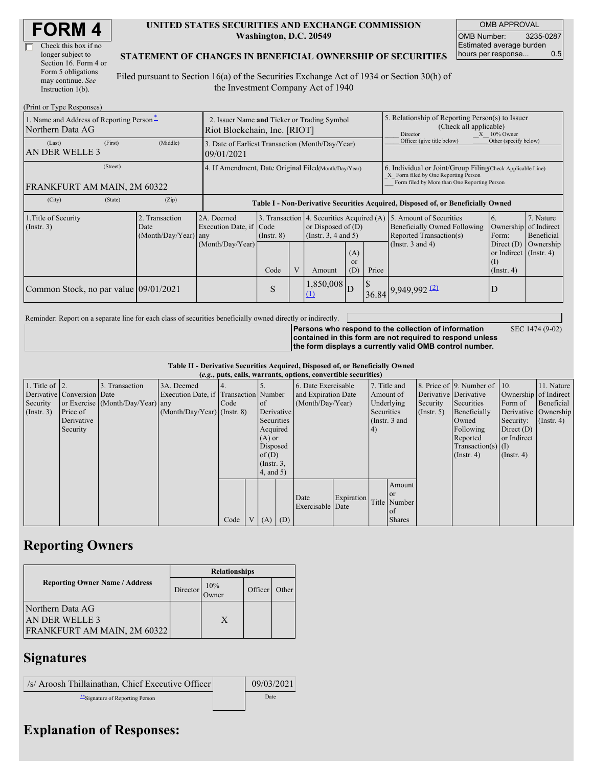| Check this box if no  |
|-----------------------|
| longer subject to     |
| Section 16. Form 4 or |
| Form 5 obligations    |
| may continue. See     |
| Instruction $1(b)$ .  |

#### **UNITED STATES SECURITIES AND EXCHANGE COMMISSION Washington, D.C. 20549**

OMB APPROVAL OMB Number: 3235-0287 Estimated average burden hours per response... 0.5

#### **STATEMENT OF CHANGES IN BENEFICIAL OWNERSHIP OF SECURITIES**

Filed pursuant to Section 16(a) of the Securities Exchange Act of 1934 or Section 30(h) of the Investment Company Act of 1940

| (Print or Type Responses)                                                             |                                                                             |                                                                |                                                                                  |  |                                                                                               |                         |                                                                                                                                                    |                                                                                    |                                                                                  |                           |  |
|---------------------------------------------------------------------------------------|-----------------------------------------------------------------------------|----------------------------------------------------------------|----------------------------------------------------------------------------------|--|-----------------------------------------------------------------------------------------------|-------------------------|----------------------------------------------------------------------------------------------------------------------------------------------------|------------------------------------------------------------------------------------|----------------------------------------------------------------------------------|---------------------------|--|
| 1. Name and Address of Reporting Person-<br>Northern Data AG                          | 2. Issuer Name and Ticker or Trading Symbol<br>Riot Blockchain, Inc. [RIOT] |                                                                |                                                                                  |  |                                                                                               |                         | 5. Relationship of Reporting Person(s) to Issuer<br>(Check all applicable)<br>$X = 10\%$ Owner<br><b>Director</b>                                  |                                                                                    |                                                                                  |                           |  |
| (First)<br>(Last)<br>AN DER WELLE 3                                                   | (Middle)                                                                    | 3. Date of Earliest Transaction (Month/Day/Year)<br>09/01/2021 |                                                                                  |  |                                                                                               |                         |                                                                                                                                                    | Officer (give title below)                                                         | Other (specify below)                                                            |                           |  |
| (Street)<br>FRANKFURT AM MAIN, 2M 60322                                               | 4. If Amendment, Date Original Filed(Month/Day/Year)                        |                                                                |                                                                                  |  |                                                                                               |                         | 6. Individual or Joint/Group Filing(Check Applicable Line)<br>X Form filed by One Reporting Person<br>Form filed by More than One Reporting Person |                                                                                    |                                                                                  |                           |  |
| (City)<br>(State)                                                                     | (Zip)                                                                       |                                                                | Table I - Non-Derivative Securities Acquired, Disposed of, or Beneficially Owned |  |                                                                                               |                         |                                                                                                                                                    |                                                                                    |                                                                                  |                           |  |
| 1. Title of Security<br>2. Transaction<br>(Insert. 3)<br>Date<br>(Month/Day/Year) any |                                                                             | 2A. Deemed<br>Execution Date, if Code                          | $($ Instr. $8)$                                                                  |  | 3. Transaction 4. Securities Acquired (A)<br>or Disposed of $(D)$<br>(Instr. $3, 4$ and $5$ ) |                         |                                                                                                                                                    | 5. Amount of Securities<br>Beneficially Owned Following<br>Reported Transaction(s) | 7. Nature<br>6.<br>Ownership<br>Form:                                            | of Indirect<br>Beneficial |  |
|                                                                                       |                                                                             | (Month/Day/Year)                                               | Code                                                                             |  | Amount                                                                                        | (A)<br><b>or</b><br>(D) | Price                                                                                                                                              | (Instr. $3$ and $4$ )                                                              | Direct $(D)$<br>or Indirect $($ Instr. 4 $)$<br>$\rm _{(1)}$<br>$($ Instr. 4 $)$ | Ownership                 |  |
| Common Stock, no par value 09/01/2021                                                 |                                                                             |                                                                | S                                                                                |  | $1,850,008$ D                                                                                 |                         | <sup>S</sup>                                                                                                                                       | $36.84$ 9,949,992 (2)                                                              | D                                                                                |                           |  |

Reminder: Report on a separate line for each class of securities beneficially owned directly or indirectly.

SEC 1474 (9-02)

**Persons who respond to the collection of information contained in this form are not required to respond unless the form displays a currently valid OMB control number.**

**Table II - Derivative Securities Acquired, Disposed of, or Beneficially Owned (***e.g.***, puts, calls, warrants, options, convertible securities)**

|                        | $(c, g, \mu u, \alpha u)$ , wai rants, options, convertible securities |                                  |                                       |      |                |                 |            |                     |            |            |                 |                       |                              |                       |                      |
|------------------------|------------------------------------------------------------------------|----------------------------------|---------------------------------------|------|----------------|-----------------|------------|---------------------|------------|------------|-----------------|-----------------------|------------------------------|-----------------------|----------------------|
| 1. Title of $\vert$ 2. |                                                                        | 3. Transaction                   | 3A. Deemed                            |      |                |                 |            | 6. Date Exercisable |            |            | 7. Title and    |                       | 8. Price of 9. Number of 10. |                       | 11. Nature           |
|                        | Derivative Conversion Date                                             |                                  | Execution Date, if Transaction Number |      |                |                 |            | and Expiration Date |            |            | Amount of       | Derivative Derivative |                              | Ownership of Indirect |                      |
| Security               |                                                                        | or Exercise (Month/Day/Year) any |                                       | Code |                | $\circ$ f       |            | (Month/Day/Year)    |            |            | Underlying      | Security              | Securities                   | Form of               | Beneficial           |
| $($ Instr. 3 $)$       | Price of                                                               |                                  | $(Month/Day/Year)$ (Instr. 8)         |      |                |                 | Derivative |                     |            | Securities |                 | $($ Instr. 5 $)$      | Beneficially                 |                       | Derivative Ownership |
|                        | Derivative                                                             |                                  |                                       |      |                | Securities      |            |                     |            |            | (Instr. $3$ and |                       | Owned                        | Security:             | $($ Instr. 4 $)$     |
|                        | Security                                                               |                                  |                                       |      |                | Acquired        |            |                     |            | (4)        |                 |                       | Following                    | Direct $(D)$          |                      |
|                        |                                                                        |                                  |                                       |      |                | $(A)$ or        |            |                     |            |            |                 |                       | Reported                     | or Indirect           |                      |
|                        |                                                                        |                                  |                                       |      |                | Disposed        |            |                     |            |            |                 |                       | Transaction(s) $(I)$         |                       |                      |
|                        |                                                                        |                                  |                                       |      |                | of $(D)$        |            |                     |            |            |                 |                       | $($ Instr. 4 $)$             | $($ Instr. 4 $)$      |                      |
|                        |                                                                        |                                  |                                       |      |                | $($ Instr. $3,$ |            |                     |            |            |                 |                       |                              |                       |                      |
|                        |                                                                        |                                  |                                       |      |                |                 | 4, and 5)  |                     |            |            |                 |                       |                              |                       |                      |
|                        |                                                                        |                                  |                                       |      |                |                 |            |                     |            |            | Amount          |                       |                              |                       |                      |
|                        |                                                                        |                                  |                                       |      |                |                 |            | Date                | Expiration |            | or or           |                       |                              |                       |                      |
|                        |                                                                        |                                  |                                       |      |                |                 |            | Exercisable Date    |            |            | Title Number    |                       |                              |                       |                      |
|                        |                                                                        |                                  |                                       |      |                |                 |            |                     |            |            | of              |                       |                              |                       |                      |
|                        |                                                                        |                                  |                                       | Code | V <sub>1</sub> | $(A)$ $(D)$     |            |                     |            |            | <b>Shares</b>   |                       |                              |                       |                      |

# **Reporting Owners**

|                                                                          | <b>Relationships</b> |                      |         |       |  |  |  |
|--------------------------------------------------------------------------|----------------------|----------------------|---------|-------|--|--|--|
| <b>Reporting Owner Name / Address</b>                                    | Director             | 10%<br><b>J</b> wner | Officer | Other |  |  |  |
| Northern Data AG<br>AN DER WELLE 3<br><b>FRANKFURT AM MAIN, 2M 60322</b> |                      | X                    |         |       |  |  |  |

### **Signatures**

 $\sqrt{s}$  Aroosh Thillainathan, Chief Executive Officer 09/03/2021 \*\*Signature of Reporting Person Date

# **Explanation of Responses:**